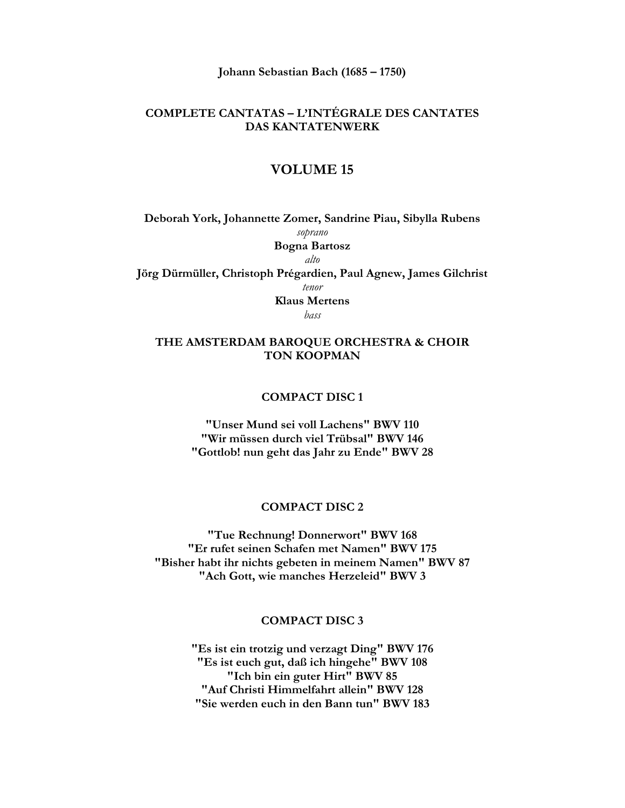**Johann Sebastian Bach (1685 – 1750)** 

# **COMPLETE CANTATAS – L'INTÉGRALE DES CANTATES DAS KANTATENWERK**

## **VOLUME 15**

**Deborah York, Johannette Zomer, Sandrine Piau, Sibylla Rubens**  *soprano*  **Bogna Bartosz**  *alto*  **Jörg Dürmüller, Christoph Prégardien, Paul Agnew, James Gilchrist**  *tenor*  **Klaus Mertens**  *bass* 

### **THE AMSTERDAM BAROQUE ORCHESTRA & CHOIR TON KOOPMAN**

#### **COMPACT DISC 1**

**"Unser Mund sei voll Lachens" BWV 110 "Wir müssen durch viel Trübsal" BWV 146 "Gottlob! nun geht das Jahr zu Ende" BWV 28** 

#### **COMPACT DISC 2**

**"Tue Rechnung! Donnerwort" BWV 168 "Er rufet seinen Schafen met Namen" BWV 175 "Bisher habt ihr nichts gebeten in meinem Namen" BWV 87 "Ach Gott, wie manches Herzeleid" BWV 3** 

### **COMPACT DISC 3**

**"Es ist ein trotzig und verzagt Ding" BWV 176 "Es ist euch gut, daß ich hingehe" BWV 108 "Ich bin ein guter Hirt" BWV 85 "Auf Christi Himmelfahrt allein" BWV 128 "Sie werden euch in den Bann tun" BWV 183**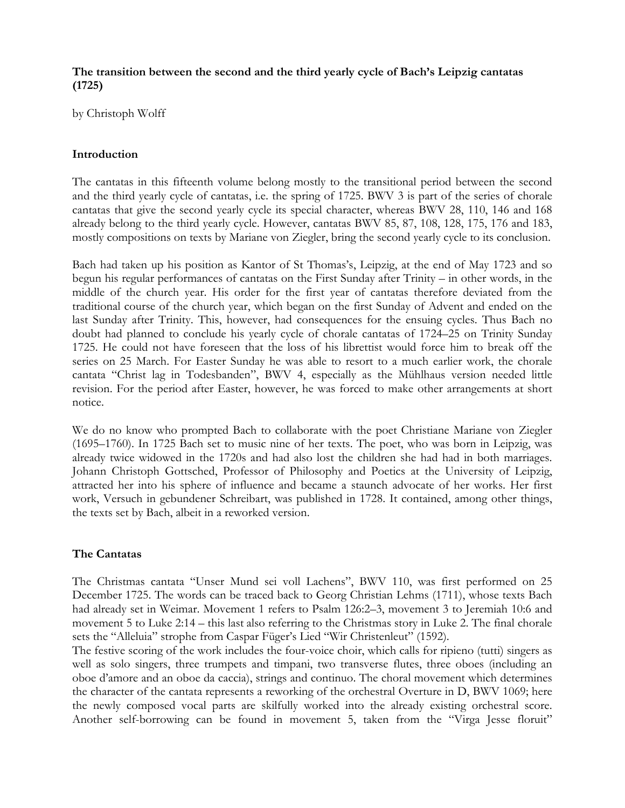## **The transition between the second and the third yearly cycle of Bach's Leipzig cantatas (1725)**

by Christoph Wolff

## **Introduction**

The cantatas in this fifteenth volume belong mostly to the transitional period between the second and the third yearly cycle of cantatas, i.e. the spring of 1725. BWV 3 is part of the series of chorale cantatas that give the second yearly cycle its special character, whereas BWV 28, 110, 146 and 168 already belong to the third yearly cycle. However, cantatas BWV 85, 87, 108, 128, 175, 176 and 183, mostly compositions on texts by Mariane von Ziegler, bring the second yearly cycle to its conclusion.

Bach had taken up his position as Kantor of St Thomas's, Leipzig, at the end of May 1723 and so begun his regular performances of cantatas on the First Sunday after Trinity – in other words, in the middle of the church year. His order for the first year of cantatas therefore deviated from the traditional course of the church year, which began on the first Sunday of Advent and ended on the last Sunday after Trinity. This, however, had consequences for the ensuing cycles. Thus Bach no doubt had planned to conclude his yearly cycle of chorale cantatas of 1724–25 on Trinity Sunday 1725. He could not have foreseen that the loss of his librettist would force him to break off the series on 25 March. For Easter Sunday he was able to resort to a much earlier work, the chorale cantata "Christ lag in Todesbanden", BWV 4, especially as the Mühlhaus version needed little revision. For the period after Easter, however, he was forced to make other arrangements at short notice.

We do no know who prompted Bach to collaborate with the poet Christiane Mariane von Ziegler (1695–1760). In 1725 Bach set to music nine of her texts. The poet, who was born in Leipzig, was already twice widowed in the 1720s and had also lost the children she had had in both marriages. Johann Christoph Gottsched, Professor of Philosophy and Poetics at the University of Leipzig, attracted her into his sphere of influence and became a staunch advocate of her works. Her first work, Versuch in gebundener Schreibart, was published in 1728. It contained, among other things, the texts set by Bach, albeit in a reworked version.

## **The Cantatas**

The Christmas cantata "Unser Mund sei voll Lachens", BWV 110, was first performed on 25 December 1725. The words can be traced back to Georg Christian Lehms (1711), whose texts Bach had already set in Weimar. Movement 1 refers to Psalm 126:2–3, movement 3 to Jeremiah 10:6 and movement 5 to Luke 2:14 – this last also referring to the Christmas story in Luke 2. The final chorale sets the "Alleluia" strophe from Caspar Füger's Lied "Wir Christenleut" (1592).

The festive scoring of the work includes the four-voice choir, which calls for ripieno (tutti) singers as well as solo singers, three trumpets and timpani, two transverse flutes, three oboes (including an oboe d'amore and an oboe da caccia), strings and continuo. The choral movement which determines the character of the cantata represents a reworking of the orchestral Overture in D, BWV 1069; here the newly composed vocal parts are skilfully worked into the already existing orchestral score. Another self-borrowing can be found in movement 5, taken from the "Virga Jesse floruit"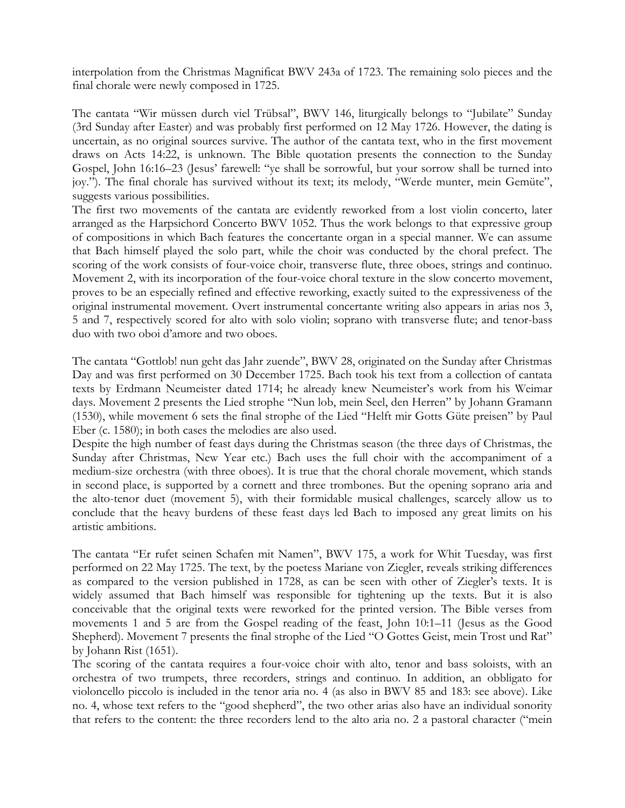interpolation from the Christmas Magnificat BWV 243a of 1723. The remaining solo pieces and the final chorale were newly composed in 1725.

The cantata "Wir müssen durch viel Trübsal", BWV 146, liturgically belongs to "Jubilate" Sunday (3rd Sunday after Easter) and was probably first performed on 12 May 1726. However, the dating is uncertain, as no original sources survive. The author of the cantata text, who in the first movement draws on Acts 14:22, is unknown. The Bible quotation presents the connection to the Sunday Gospel, John 16:16–23 (Jesus' farewell: "ye shall be sorrowful, but your sorrow shall be turned into joy."). The final chorale has survived without its text; its melody, "Werde munter, mein Gemüte", suggests various possibilities.

The first two movements of the cantata are evidently reworked from a lost violin concerto, later arranged as the Harpsichord Concerto BWV 1052. Thus the work belongs to that expressive group of compositions in which Bach features the concertante organ in a special manner. We can assume that Bach himself played the solo part, while the choir was conducted by the choral prefect. The scoring of the work consists of four-voice choir, transverse flute, three oboes, strings and continuo. Movement 2, with its incorporation of the four-voice choral texture in the slow concerto movement, proves to be an especially refined and effective reworking, exactly suited to the expressiveness of the original instrumental movement. Overt instrumental concertante writing also appears in arias nos 3, 5 and 7, respectively scored for alto with solo violin; soprano with transverse flute; and tenor-bass duo with two oboi d'amore and two oboes.

The cantata "Gottlob! nun geht das Jahr zuende", BWV 28, originated on the Sunday after Christmas Day and was first performed on 30 December 1725. Bach took his text from a collection of cantata texts by Erdmann Neumeister dated 1714; he already knew Neumeister's work from his Weimar days. Movement 2 presents the Lied strophe "Nun lob, mein Seel, den Herren" by Johann Gramann (1530), while movement 6 sets the final strophe of the Lied "Helft mir Gotts Güte preisen" by Paul Eber (c. 1580); in both cases the melodies are also used.

Despite the high number of feast days during the Christmas season (the three days of Christmas, the Sunday after Christmas, New Year etc.) Bach uses the full choir with the accompaniment of a medium-size orchestra (with three oboes). It is true that the choral chorale movement, which stands in second place, is supported by a cornett and three trombones. But the opening soprano aria and the alto-tenor duet (movement 5), with their formidable musical challenges, scarcely allow us to conclude that the heavy burdens of these feast days led Bach to imposed any great limits on his artistic ambitions.

The cantata "Er rufet seinen Schafen mit Namen", BWV 175, a work for Whit Tuesday, was first performed on 22 May 1725. The text, by the poetess Mariane von Ziegler, reveals striking differences as compared to the version published in 1728, as can be seen with other of Ziegler's texts. It is widely assumed that Bach himself was responsible for tightening up the texts. But it is also conceivable that the original texts were reworked for the printed version. The Bible verses from movements 1 and 5 are from the Gospel reading of the feast, John 10:1–11 (Jesus as the Good Shepherd). Movement 7 presents the final strophe of the Lied "O Gottes Geist, mein Trost und Rat" by Johann Rist (1651).

The scoring of the cantata requires a four-voice choir with alto, tenor and bass soloists, with an orchestra of two trumpets, three recorders, strings and continuo. In addition, an obbligato for violoncello piccolo is included in the tenor aria no. 4 (as also in BWV 85 and 183: see above). Like no. 4, whose text refers to the "good shepherd", the two other arias also have an individual sonority that refers to the content: the three recorders lend to the alto aria no. 2 a pastoral character ("mein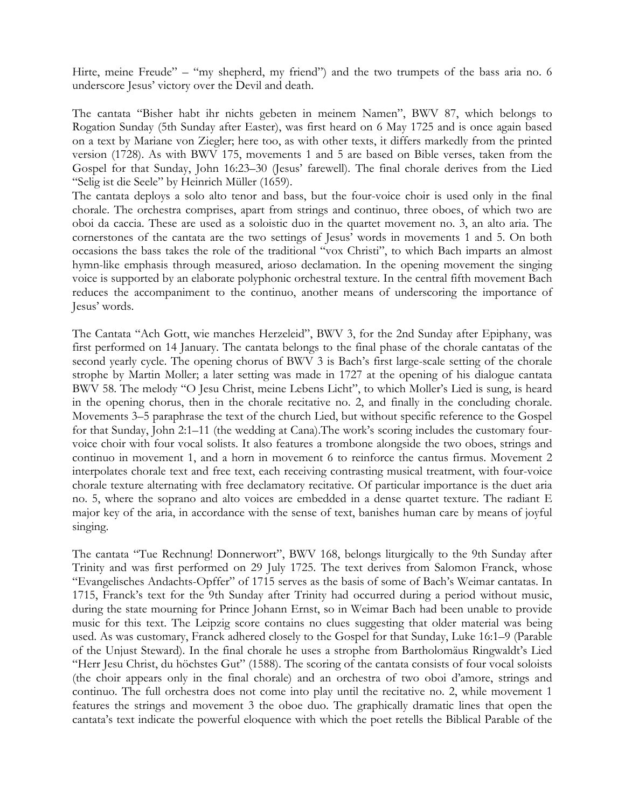Hirte, meine Freude" – "my shepherd, my friend") and the two trumpets of the bass aria no. 6 underscore Jesus' victory over the Devil and death.

The cantata "Bisher habt ihr nichts gebeten in meinem Namen", BWV 87, which belongs to Rogation Sunday (5th Sunday after Easter), was first heard on 6 May 1725 and is once again based on a text by Mariane von Ziegler; here too, as with other texts, it differs markedly from the printed version (1728). As with BWV 175, movements 1 and 5 are based on Bible verses, taken from the Gospel for that Sunday, John 16:23–30 (Jesus' farewell). The final chorale derives from the Lied "Selig ist die Seele" by Heinrich Müller (1659).

The cantata deploys a solo alto tenor and bass, but the four-voice choir is used only in the final chorale. The orchestra comprises, apart from strings and continuo, three oboes, of which two are oboi da caccia. These are used as a soloistic duo in the quartet movement no. 3, an alto aria. The cornerstones of the cantata are the two settings of Jesus' words in movements 1 and 5. On both occasions the bass takes the role of the traditional "vox Christi", to which Bach imparts an almost hymn-like emphasis through measured, arioso declamation. In the opening movement the singing voice is supported by an elaborate polyphonic orchestral texture. In the central fifth movement Bach reduces the accompaniment to the continuo, another means of underscoring the importance of Jesus' words.

The Cantata "Ach Gott, wie manches Herzeleid", BWV 3, for the 2nd Sunday after Epiphany, was first performed on 14 January. The cantata belongs to the final phase of the chorale cantatas of the second yearly cycle. The opening chorus of BWV 3 is Bach's first large-scale setting of the chorale strophe by Martin Moller; a later setting was made in 1727 at the opening of his dialogue cantata BWV 58. The melody "O Jesu Christ, meine Lebens Licht", to which Moller's Lied is sung, is heard in the opening chorus, then in the chorale recitative no. 2, and finally in the concluding chorale. Movements 3–5 paraphrase the text of the church Lied, but without specific reference to the Gospel for that Sunday, John 2:1–11 (the wedding at Cana).The work's scoring includes the customary fourvoice choir with four vocal solists. It also features a trombone alongside the two oboes, strings and continuo in movement 1, and a horn in movement 6 to reinforce the cantus firmus. Movement 2 interpolates chorale text and free text, each receiving contrasting musical treatment, with four-voice chorale texture alternating with free declamatory recitative. Of particular importance is the duet aria no. 5, where the soprano and alto voices are embedded in a dense quartet texture. The radiant E major key of the aria, in accordance with the sense of text, banishes human care by means of joyful singing.

The cantata "Tue Rechnung! Donnerwort", BWV 168, belongs liturgically to the 9th Sunday after Trinity and was first performed on 29 July 1725. The text derives from Salomon Franck, whose "Evangelisches Andachts-Opffer" of 1715 serves as the basis of some of Bach's Weimar cantatas. In 1715, Franck's text for the 9th Sunday after Trinity had occurred during a period without music, during the state mourning for Prince Johann Ernst, so in Weimar Bach had been unable to provide music for this text. The Leipzig score contains no clues suggesting that older material was being used. As was customary, Franck adhered closely to the Gospel for that Sunday, Luke 16:1–9 (Parable of the Unjust Steward). In the final chorale he uses a strophe from Bartholomäus Ringwaldt's Lied "Herr Jesu Christ, du höchstes Gut" (1588). The scoring of the cantata consists of four vocal soloists (the choir appears only in the final chorale) and an orchestra of two oboi d'amore, strings and continuo. The full orchestra does not come into play until the recitative no. 2, while movement 1 features the strings and movement 3 the oboe duo. The graphically dramatic lines that open the cantata's text indicate the powerful eloquence with which the poet retells the Biblical Parable of the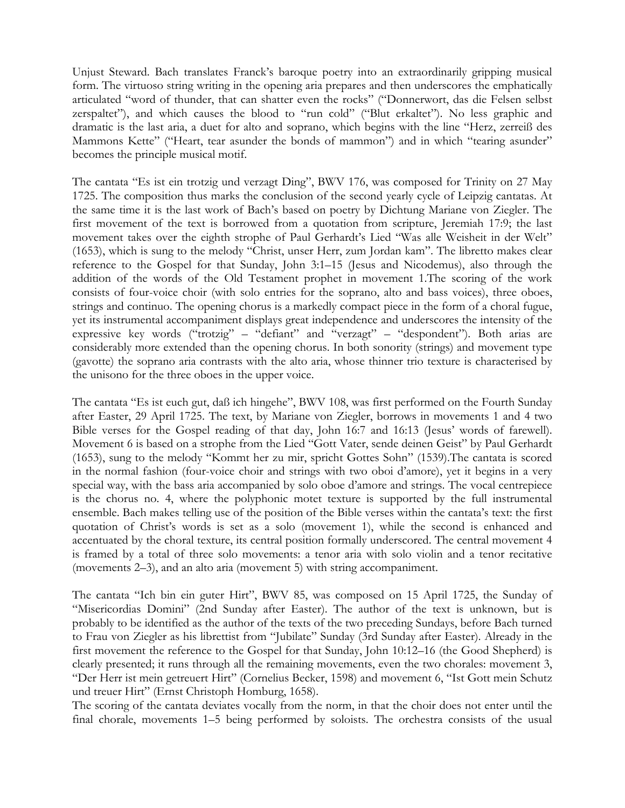Unjust Steward. Bach translates Franck's baroque poetry into an extraordinarily gripping musical form. The virtuoso string writing in the opening aria prepares and then underscores the emphatically articulated "word of thunder, that can shatter even the rocks" ("Donnerwort, das die Felsen selbst zerspaltet"), and which causes the blood to "run cold" ("Blut erkaltet"). No less graphic and dramatic is the last aria, a duet for alto and soprano, which begins with the line "Herz, zerreiß des Mammons Kette" ("Heart, tear asunder the bonds of mammon") and in which "tearing asunder" becomes the principle musical motif.

The cantata "Es ist ein trotzig und verzagt Ding", BWV 176, was composed for Trinity on 27 May 1725. The composition thus marks the conclusion of the second yearly cycle of Leipzig cantatas. At the same time it is the last work of Bach's based on poetry by Dichtung Mariane von Ziegler. The first movement of the text is borrowed from a quotation from scripture, Jeremiah 17:9; the last movement takes over the eighth strophe of Paul Gerhardt's Lied "Was alle Weisheit in der Welt" (1653), which is sung to the melody "Christ, unser Herr, zum Jordan kam". The libretto makes clear reference to the Gospel for that Sunday, John 3:1–15 (Jesus and Nicodemus), also through the addition of the words of the Old Testament prophet in movement 1.The scoring of the work consists of four-voice choir (with solo entries for the soprano, alto and bass voices), three oboes, strings and continuo. The opening chorus is a markedly compact piece in the form of a choral fugue, yet its instrumental accompaniment displays great independence and underscores the intensity of the expressive key words ("trotzig" – "defiant" and "verzagt" – "despondent"). Both arias are considerably more extended than the opening chorus. In both sonority (strings) and movement type (gavotte) the soprano aria contrasts with the alto aria, whose thinner trio texture is characterised by the unisono for the three oboes in the upper voice.

The cantata "Es ist euch gut, daß ich hingehe", BWV 108, was first performed on the Fourth Sunday after Easter, 29 April 1725. The text, by Mariane von Ziegler, borrows in movements 1 and 4 two Bible verses for the Gospel reading of that day, John 16:7 and 16:13 (Jesus' words of farewell). Movement 6 is based on a strophe from the Lied "Gott Vater, sende deinen Geist" by Paul Gerhardt (1653), sung to the melody "Kommt her zu mir, spricht Gottes Sohn" (1539).The cantata is scored in the normal fashion (four-voice choir and strings with two oboi d'amore), yet it begins in a very special way, with the bass aria accompanied by solo oboe d'amore and strings. The vocal centrepiece is the chorus no. 4, where the polyphonic motet texture is supported by the full instrumental ensemble. Bach makes telling use of the position of the Bible verses within the cantata's text: the first quotation of Christ's words is set as a solo (movement 1), while the second is enhanced and accentuated by the choral texture, its central position formally underscored. The central movement 4 is framed by a total of three solo movements: a tenor aria with solo violin and a tenor recitative (movements 2–3), and an alto aria (movement 5) with string accompaniment.

The cantata "Ich bin ein guter Hirt", BWV 85, was composed on 15 April 1725, the Sunday of "Misericordias Domini" (2nd Sunday after Easter). The author of the text is unknown, but is probably to be identified as the author of the texts of the two preceding Sundays, before Bach turned to Frau von Ziegler as his librettist from "Jubilate" Sunday (3rd Sunday after Easter). Already in the first movement the reference to the Gospel for that Sunday, John 10:12–16 (the Good Shepherd) is clearly presented; it runs through all the remaining movements, even the two chorales: movement 3, "Der Herr ist mein getreuert Hirt" (Cornelius Becker, 1598) and movement 6, "Ist Gott mein Schutz und treuer Hirt" (Ernst Christoph Homburg, 1658).

The scoring of the cantata deviates vocally from the norm, in that the choir does not enter until the final chorale, movements 1–5 being performed by soloists. The orchestra consists of the usual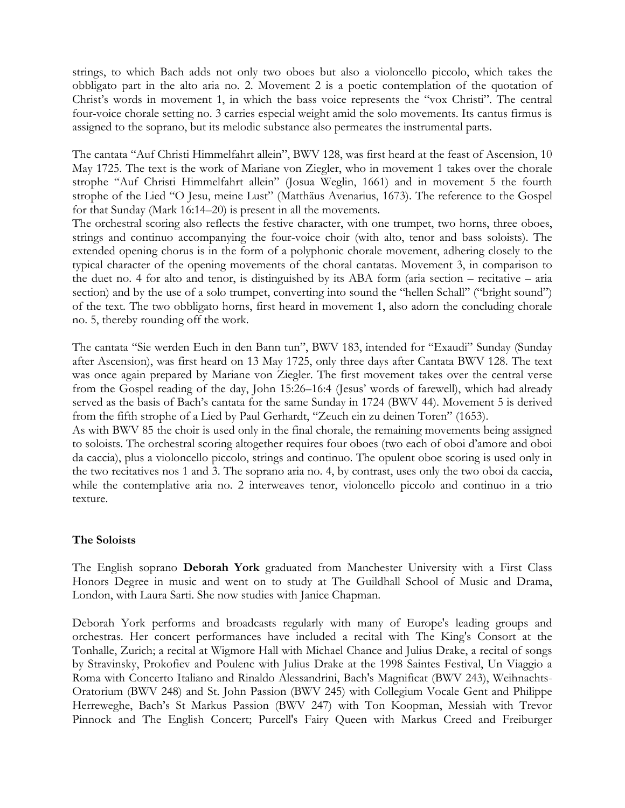strings, to which Bach adds not only two oboes but also a violoncello piccolo, which takes the obbligato part in the alto aria no. 2. Movement 2 is a poetic contemplation of the quotation of Christ's words in movement 1, in which the bass voice represents the "vox Christi". The central four-voice chorale setting no. 3 carries especial weight amid the solo movements. Its cantus firmus is assigned to the soprano, but its melodic substance also permeates the instrumental parts.

The cantata "Auf Christi Himmelfahrt allein", BWV 128, was first heard at the feast of Ascension, 10 May 1725. The text is the work of Mariane von Ziegler, who in movement 1 takes over the chorale strophe "Auf Christi Himmelfahrt allein" (Josua Weglin, 1661) and in movement 5 the fourth strophe of the Lied "O Jesu, meine Lust" (Matthäus Avenarius, 1673). The reference to the Gospel for that Sunday (Mark 16:14–20) is present in all the movements.

The orchestral scoring also reflects the festive character, with one trumpet, two horns, three oboes, strings and continuo accompanying the four-voice choir (with alto, tenor and bass soloists). The extended opening chorus is in the form of a polyphonic chorale movement, adhering closely to the typical character of the opening movements of the choral cantatas. Movement 3, in comparison to the duet no. 4 for alto and tenor, is distinguished by its ABA form (aria section – recitative – aria section) and by the use of a solo trumpet, converting into sound the "hellen Schall" ("bright sound") of the text. The two obbligato horns, first heard in movement 1, also adorn the concluding chorale no. 5, thereby rounding off the work.

The cantata "Sie werden Euch in den Bann tun", BWV 183, intended for "Exaudi" Sunday (Sunday after Ascension), was first heard on 13 May 1725, only three days after Cantata BWV 128. The text was once again prepared by Mariane von Ziegler. The first movement takes over the central verse from the Gospel reading of the day, John 15:26–16:4 (Jesus' words of farewell), which had already served as the basis of Bach's cantata for the same Sunday in 1724 (BWV 44). Movement 5 is derived from the fifth strophe of a Lied by Paul Gerhardt, "Zeuch ein zu deinen Toren" (1653).

As with BWV 85 the choir is used only in the final chorale, the remaining movements being assigned to soloists. The orchestral scoring altogether requires four oboes (two each of oboi d'amore and oboi da caccia), plus a violoncello piccolo, strings and continuo. The opulent oboe scoring is used only in the two recitatives nos 1 and 3. The soprano aria no. 4, by contrast, uses only the two oboi da caccia, while the contemplative aria no. 2 interweaves tenor, violoncello piccolo and continuo in a trio texture.

## **The Soloists**

The English soprano **Deborah York** graduated from Manchester University with a First Class Honors Degree in music and went on to study at The Guildhall School of Music and Drama, London, with Laura Sarti. She now studies with Janice Chapman.

Deborah York performs and broadcasts regularly with many of Europe's leading groups and orchestras. Her concert performances have included a recital with The King's Consort at the Tonhalle, Zurich; a recital at Wigmore Hall with Michael Chance and Julius Drake, a recital of songs by Stravinsky, Prokofiev and Poulenc with Julius Drake at the 1998 Saintes Festival, Un Viaggio a Roma with Concerto Italiano and Rinaldo Alessandrini, Bach's Magnificat (BWV 243), Weihnachts-Oratorium (BWV 248) and St. John Passion (BWV 245) with Collegium Vocale Gent and Philippe Herreweghe, Bach's St Markus Passion (BWV 247) with Ton Koopman, Messiah with Trevor Pinnock and The English Concert; Purcell's Fairy Queen with Markus Creed and Freiburger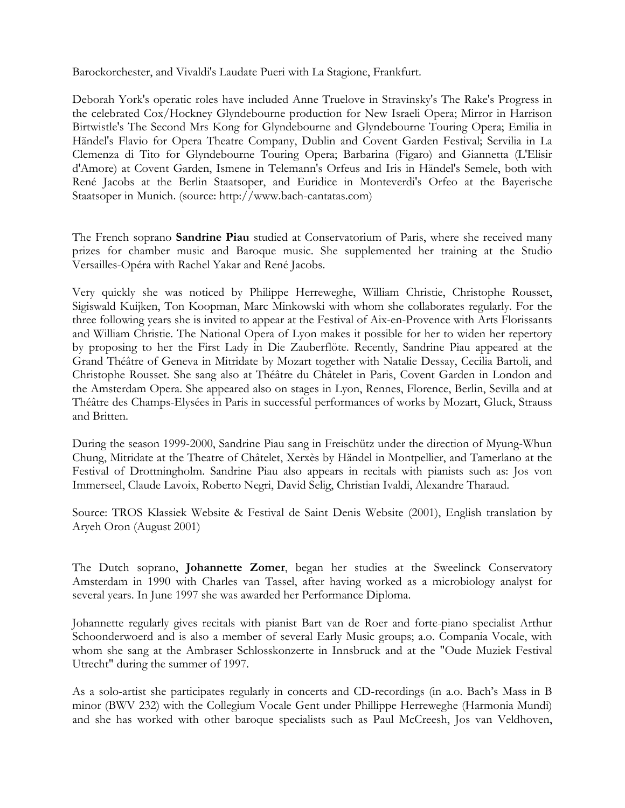Barockorchester, and Vivaldi's Laudate Pueri with La Stagione, Frankfurt.

Deborah York's operatic roles have included Anne Truelove in Stravinsky's The Rake's Progress in the celebrated Cox/Hockney Glyndebourne production for New Israeli Opera; Mirror in Harrison Birtwistle's The Second Mrs Kong for Glyndebourne and Glyndebourne Touring Opera; Emilia in Händel's Flavio for Opera Theatre Company, Dublin and Covent Garden Festival; Servilia in La Clemenza di Tito for Glyndebourne Touring Opera; Barbarina (Figaro) and Giannetta (L'Elisir d'Amore) at Covent Garden, Ismene in Telemann's Orfeus and Iris in Händel's Semele, both with René Jacobs at the Berlin Staatsoper, and Euridice in Monteverdi's Orfeo at the Bayerische Staatsoper in Munich. (source: http://www.bach-cantatas.com)

The French soprano **Sandrine Piau** studied at Conservatorium of Paris, where she received many prizes for chamber music and Baroque music. She supplemented her training at the Studio Versailles-Opéra with Rachel Yakar and René Jacobs.

Very quickly she was noticed by Philippe Herreweghe, William Christie, Christophe Rousset, Sigiswald Kuijken, Ton Koopman, Marc Minkowski with whom she collaborates regularly. For the three following years she is invited to appear at the Festival of Aix-en-Provence with Arts Florissants and William Christie. The National Opera of Lyon makes it possible for her to widen her repertory by proposing to her the First Lady in Die Zauberflöte. Recently, Sandrine Piau appeared at the Grand Théâtre of Geneva in Mitridate by Mozart together with Natalie Dessay, Cecilia Bartoli, and Christophe Rousset. She sang also at Théâtre du Châtelet in Paris, Covent Garden in London and the Amsterdam Opera. She appeared also on stages in Lyon, Rennes, Florence, Berlin, Sevilla and at Théâtre des Champs-Elysées in Paris in successful performances of works by Mozart, Gluck, Strauss and Britten.

During the season 1999-2000, Sandrine Piau sang in Freischütz under the direction of Myung-Whun Chung, Mitridate at the Theatre of Châtelet, Xerxès by Händel in Montpellier, and Tamerlano at the Festival of Drottningholm. Sandrine Piau also appears in recitals with pianists such as: Jos von Immerseel, Claude Lavoix, Roberto Negri, David Selig, Christian Ivaldi, Alexandre Tharaud.

Source: TROS Klassiek Website & Festival de Saint Denis Website (2001), English translation by Aryeh Oron (August 2001)

The Dutch soprano, **Johannette Zomer**, began her studies at the Sweelinck Conservatory Amsterdam in 1990 with Charles van Tassel, after having worked as a microbiology analyst for several years. In June 1997 she was awarded her Performance Diploma.

Johannette regularly gives recitals with pianist Bart van de Roer and forte-piano specialist Arthur Schoonderwoerd and is also a member of several Early Music groups; a.o. Compania Vocale, with whom she sang at the Ambraser Schlosskonzerte in Innsbruck and at the "Oude Muziek Festival Utrecht" during the summer of 1997.

As a solo-artist she participates regularly in concerts and CD-recordings (in a.o. Bach's Mass in B minor (BWV 232) with the Collegium Vocale Gent under Phillippe Herreweghe (Harmonia Mundi) and she has worked with other baroque specialists such as Paul McCreesh, Jos van Veldhoven,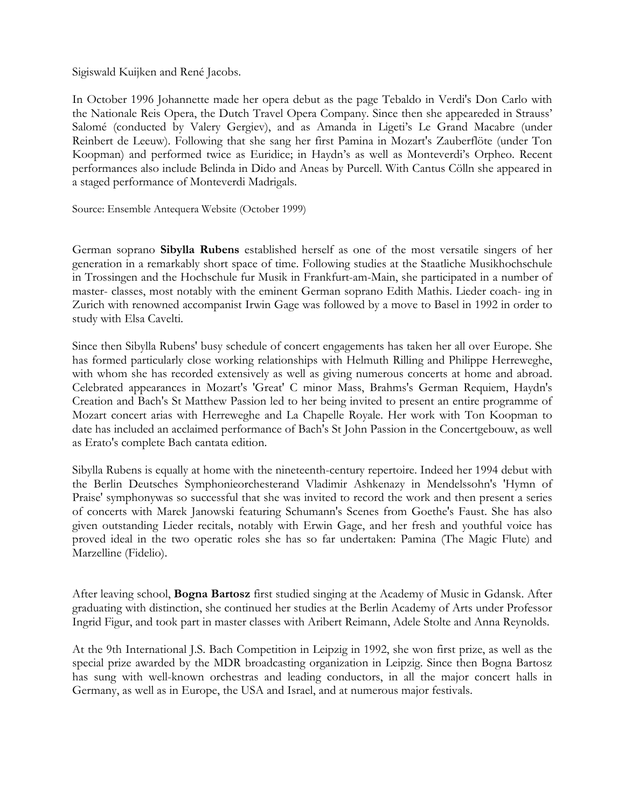Sigiswald Kuijken and René Jacobs.

In October 1996 Johannette made her opera debut as the page Tebaldo in Verdi's Don Carlo with the Nationale Reis Opera, the Dutch Travel Opera Company. Since then she appeareded in Strauss' Salomé (conducted by Valery Gergiev), and as Amanda in Ligeti's Le Grand Macabre (under Reinbert de Leeuw). Following that she sang her first Pamina in Mozart's Zauberflöte (under Ton Koopman) and performed twice as Euridice; in Haydn's as well as Monteverdi's Orpheo. Recent performances also include Belinda in Dido and Aneas by Purcell. With Cantus Cölln she appeared in a staged performance of Monteverdi Madrigals.

Source: Ensemble Antequera Website (October 1999)

German soprano **Sibylla Rubens** established herself as one of the most versatile singers of her generation in a remarkably short space of time. Following studies at the Staatliche Musikhochschule in Trossingen and the Hochschule fur Musik in Frankfurt-am-Main, she participated in a number of master- classes, most notably with the eminent German soprano Edith Mathis. Lieder coach- ing in Zurich with renowned accompanist Irwin Gage was followed by a move to Basel in 1992 in order to study with Elsa Cavelti.

Since then Sibylla Rubens' busy schedule of concert engagements has taken her all over Europe. She has formed particularly close working relationships with Helmuth Rilling and Philippe Herreweghe, with whom she has recorded extensively as well as giving numerous concerts at home and abroad. Celebrated appearances in Mozart's 'Great' C minor Mass, Brahms's German Requiem, Haydn's Creation and Bach's St Matthew Passion led to her being invited to present an entire programme of Mozart concert arias with Herreweghe and La Chapelle Royale. Her work with Ton Koopman to date has included an acclaimed performance of Bach's St John Passion in the Concertgebouw, as well as Erato's complete Bach cantata edition.

Sibylla Rubens is equally at home with the nineteenth-century repertoire. Indeed her 1994 debut with the Berlin Deutsches Symphonieorchesterand Vladimir Ashkenazy in Mendelssohn's 'Hymn of Praise' symphonywas so successful that she was invited to record the work and then present a series of concerts with Marek Janowski featuring Schumann's Scenes from Goethe's Faust. She has also given outstanding Lieder recitals, notably with Erwin Gage, and her fresh and youthful voice has proved ideal in the two operatic roles she has so far undertaken: Pamina (The Magic Flute) and Marzelline (Fidelio).

After leaving school, **Bogna Bartosz** first studied singing at the Academy of Music in Gdansk. After graduating with distinction, she continued her studies at the Berlin Academy of Arts under Professor Ingrid Figur, and took part in master classes with Aribert Reimann, Adele Stolte and Anna Reynolds.

At the 9th International J.S. Bach Competition in Leipzig in 1992, she won first prize, as well as the special prize awarded by the MDR broadcasting organization in Leipzig. Since then Bogna Bartosz has sung with well-known orchestras and leading conductors, in all the major concert halls in Germany, as well as in Europe, the USA and Israel, and at numerous major festivals.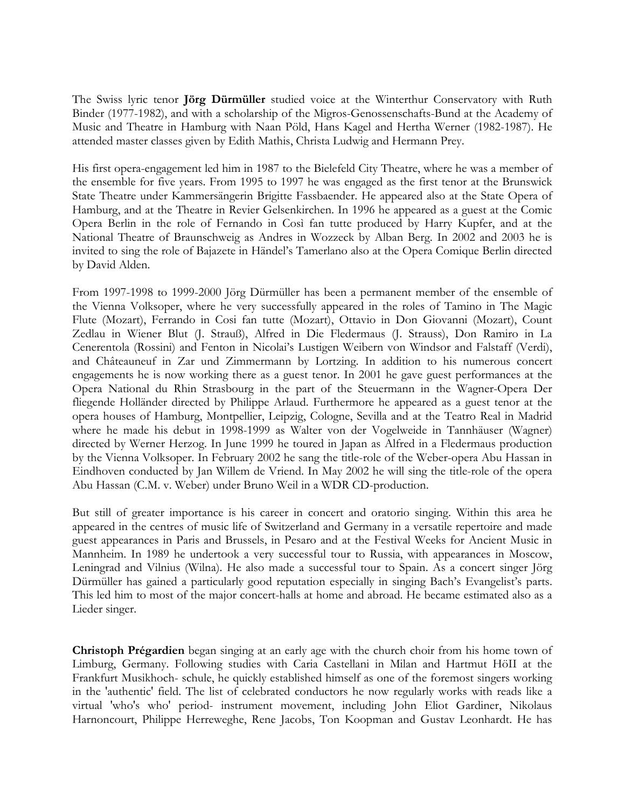The Swiss lyric tenor **Jörg Dürmüller** studied voice at the Winterthur Conservatory with Ruth Binder (1977-1982), and with a scholarship of the Migros-Genossenschafts-Bund at the Academy of Music and Theatre in Hamburg with Naan Pöld, Hans Kagel and Hertha Werner (1982-1987). He attended master classes given by Edith Mathis, Christa Ludwig and Hermann Prey.

His first opera-engagement led him in 1987 to the Bielefeld City Theatre, where he was a member of the ensemble for five years. From 1995 to 1997 he was engaged as the first tenor at the Brunswick State Theatre under Kammersängerin Brigitte Fassbaender. He appeared also at the State Opera of Hamburg, and at the Theatre in Revier Gelsenkirchen. In 1996 he appeared as a guest at the Comic Opera Berlin in the role of Fernando in Così fan tutte produced by Harry Kupfer, and at the National Theatre of Braunschweig as Andres in Wozzeck by Alban Berg. In 2002 and 2003 he is invited to sing the role of Bajazete in Händel's Tamerlano also at the Opera Comique Berlin directed by David Alden.

From 1997-1998 to 1999-2000 Jörg Dürmüller has been a permanent member of the ensemble of the Vienna Volksoper, where he very successfully appeared in the roles of Tamino in The Magic Flute (Mozart), Ferrando in Cosi fan tutte (Mozart), Ottavio in Don Giovanni (Mozart), Count Zedlau in Wiener Blut (J. Strauß), Alfred in Die Fledermaus (J. Strauss), Don Ramiro in La Cenerentola (Rossini) and Fenton in Nicolai's Lustigen Weibern von Windsor and Falstaff (Verdi), and Châteauneuf in Zar und Zimmermann by Lortzing. In addition to his numerous concert engagements he is now working there as a guest tenor. In 2001 he gave guest performances at the Opera National du Rhin Strasbourg in the part of the Steuermann in the Wagner-Opera Der fliegende Holländer directed by Philippe Arlaud. Furthermore he appeared as a guest tenor at the opera houses of Hamburg, Montpellier, Leipzig, Cologne, Sevilla and at the Teatro Real in Madrid where he made his debut in 1998-1999 as Walter von der Vogelweide in Tannhäuser (Wagner) directed by Werner Herzog. In June 1999 he toured in Japan as Alfred in a Fledermaus production by the Vienna Volksoper. In February 2002 he sang the title-role of the Weber-opera Abu Hassan in Eindhoven conducted by Jan Willem de Vriend. In May 2002 he will sing the title-role of the opera Abu Hassan (C.M. v. Weber) under Bruno Weil in a WDR CD-production.

But still of greater importance is his career in concert and oratorio singing. Within this area he appeared in the centres of music life of Switzerland and Germany in a versatile repertoire and made guest appearances in Paris and Brussels, in Pesaro and at the Festival Weeks for Ancient Music in Mannheim. In 1989 he undertook a very successful tour to Russia, with appearances in Moscow, Leningrad and Vilnius (Wilna). He also made a successful tour to Spain. As a concert singer Jörg Dürmüller has gained a particularly good reputation especially in singing Bach's Evangelist's parts. This led him to most of the major concert-halls at home and abroad. He became estimated also as a Lieder singer.

**Christoph Prégardien** began singing at an early age with the church choir from his home town of Limburg, Germany. Following studies with Caria Castellani in Milan and Hartmut HöII at the Frankfurt Musikhoch- schule, he quickly established himself as one of the foremost singers working in the 'authentic' field. The list of celebrated conductors he now regularly works with reads like a virtual 'who's who' period- instrument movement, including John Eliot Gardiner, Nikolaus Harnoncourt, Philippe Herreweghe, Rene Jacobs, Ton Koopman and Gustav Leonhardt. He has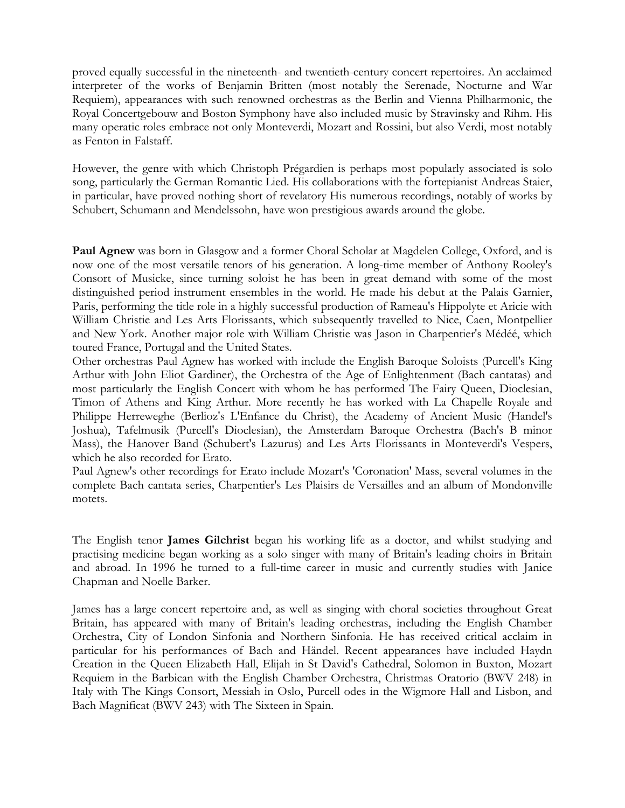proved equally successful in the nineteenth- and twentieth-century concert repertoires. An acclaimed interpreter of the works of Benjamin Britten (most notably the Serenade, Nocturne and War Requiem), appearances with such renowned orchestras as the Berlin and Vienna Philharmonic, the Royal Concertgebouw and Boston Symphony have also included music by Stravinsky and Rihm. His many operatic roles embrace not only Monteverdi, Mozart and Rossini, but also Verdi, most notably as Fenton in Falstaff.

However, the genre with which Christoph Prégardien is perhaps most popularly associated is solo song, particularly the German Romantic Lied. His collaborations with the fortepianist Andreas Staier, in particular, have proved nothing short of revelatory His numerous recordings, notably of works by Schubert, Schumann and Mendelssohn, have won prestigious awards around the globe.

**Paul Agnew** was born in Glasgow and a former Choral Scholar at Magdelen College, Oxford, and is now one of the most versatile tenors of his generation. A long-time member of Anthony Rooley's Consort of Musicke, since turning soloist he has been in great demand with some of the most distinguished period instrument ensembles in the world. He made his debut at the Palais Garnier, Paris, performing the title role in a highly successful production of Rameau's Hippolyte et Aricie with William Christie and Les Arts Florissants, which subsequently travelled to Nice, Caen, Montpellier and New York. Another major role with William Christie was Jason in Charpentier's Médéé, which toured France, Portugal and the United States.

Other orchestras Paul Agnew has worked with include the English Baroque Soloists (Purcell's King Arthur with John Eliot Gardiner), the Orchestra of the Age of Enlightenment (Bach cantatas) and most particularly the English Concert with whom he has performed The Fairy Queen, Dioclesian, Timon of Athens and King Arthur. More recently he has worked with La Chapelle Royale and Philippe Herreweghe (Berlioz's L'Enfance du Christ), the Academy of Ancient Music (Handel's Joshua), Tafelmusik (Purcell's Dioclesian), the Amsterdam Baroque Orchestra (Bach's B minor Mass), the Hanover Band (Schubert's Lazurus) and Les Arts Florissants in Monteverdi's Vespers, which he also recorded for Erato.

Paul Agnew's other recordings for Erato include Mozart's 'Coronation' Mass, several volumes in the complete Bach cantata series, Charpentier's Les Plaisirs de Versailles and an album of Mondonville motets.

The English tenor **James Gilchrist** began his working life as a doctor, and whilst studying and practising medicine began working as a solo singer with many of Britain's leading choirs in Britain and abroad. In 1996 he turned to a full-time career in music and currently studies with Janice Chapman and Noelle Barker.

James has a large concert repertoire and, as well as singing with choral societies throughout Great Britain, has appeared with many of Britain's leading orchestras, including the English Chamber Orchestra, City of London Sinfonia and Northern Sinfonia. He has received critical acclaim in particular for his performances of Bach and Händel. Recent appearances have included Haydn Creation in the Queen Elizabeth Hall, Elijah in St David's Cathedral, Solomon in Buxton, Mozart Requiem in the Barbican with the English Chamber Orchestra, Christmas Oratorio (BWV 248) in Italy with The Kings Consort, Messiah in Oslo, Purcell odes in the Wigmore Hall and Lisbon, and Bach Magnificat (BWV 243) with The Sixteen in Spain.